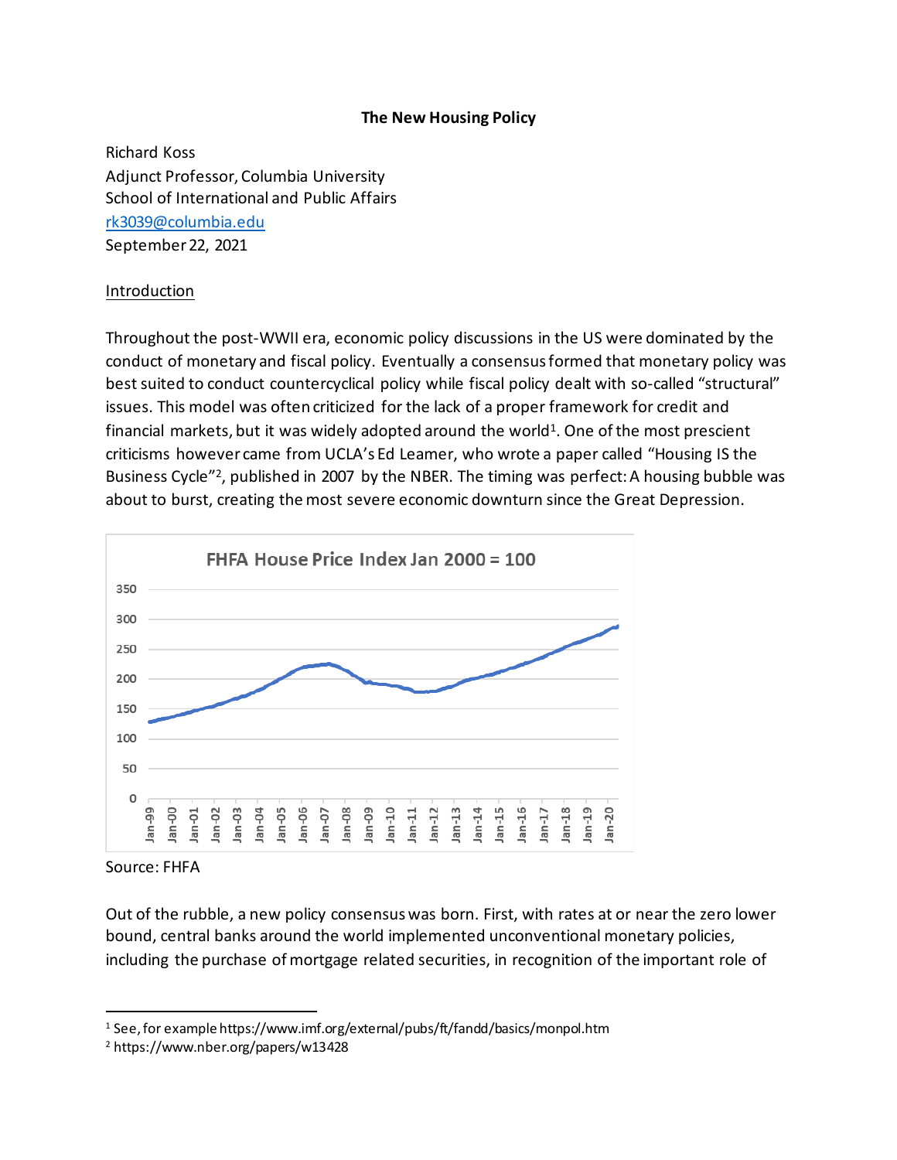#### **The New Housing Policy**

Richard Koss Adjunct Professor, Columbia University School of International and Public Affairs [rk3039@columbia.edu](mailto:rk3039@columbia.edu) September 22, 2021

#### Introduction

Throughout the post-WWII era, economic policy discussions in the US were dominated by the conduct of monetary and fiscal policy. Eventually a consensus formed that monetary policy was best suited to conduct countercyclical policy while fiscal policy dealt with so-called "structural" issues. This model was often criticized for the lack of a proper framework for credit and financial markets, but it was widely adopted around the world<sup>1</sup>. One of the most prescient criticisms however came from UCLA's Ed Leamer, who wrote a paper called "Housing IS the Business Cycle"<sup>2</sup>, published in 2007 by the NBER. The timing was perfect: A housing bubble was about to burst, creating the most severe economic downturn since the Great Depression.



Source: FHFA

Out of the rubble, a new policy consensus was born. First, with rates at or near the zero lower bound, central banks around the world implemented unconventional monetary policies, including the purchase of mortgage related securities, in recognition of the important role of

<sup>&</sup>lt;sup>1</sup> See, for example https://www.imf.org/external/pubs/ft/fandd/basics/monpol.htm

<sup>2</sup> https://www.nber.org/papers/w13428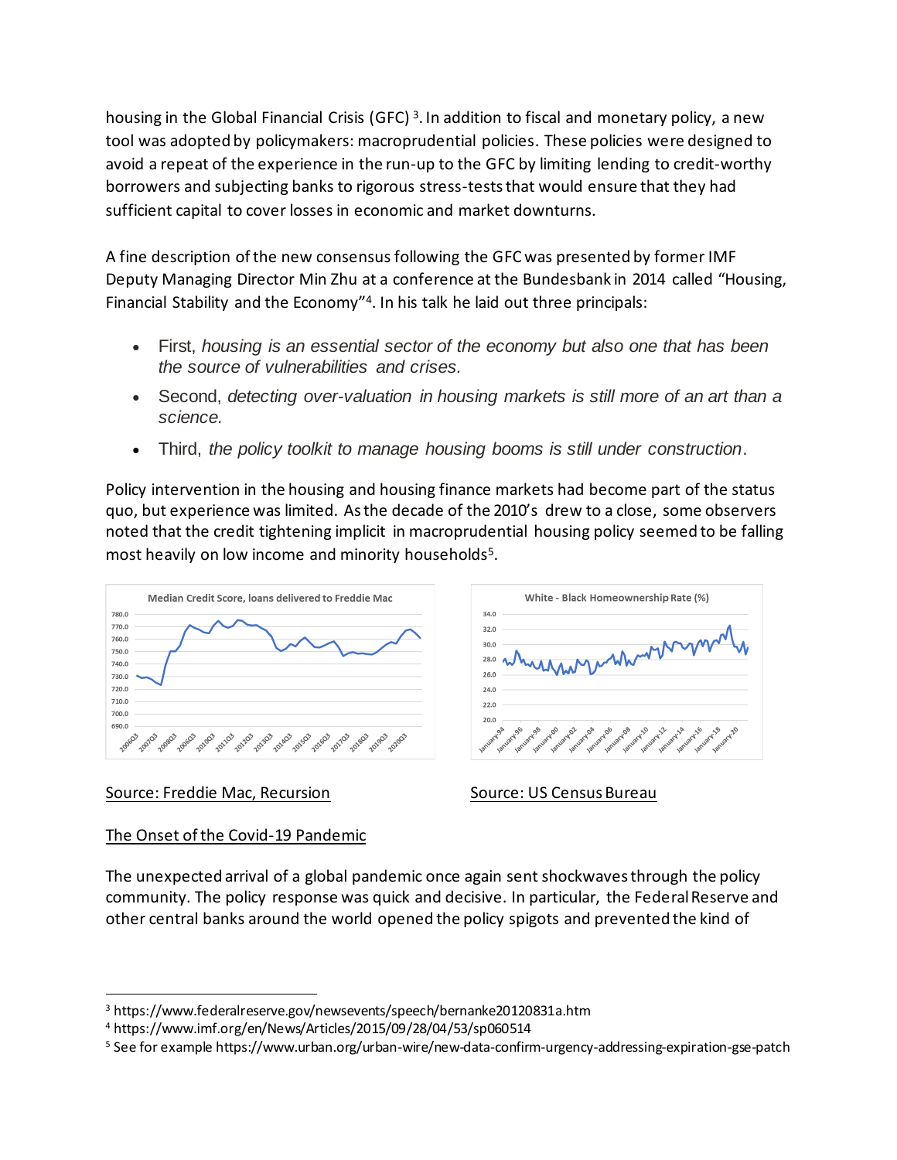housing in the Global Financial Crisis (GFC)<sup>3</sup>. In addition to fiscal and monetary policy, a new tool was adopted by policymakers: macroprudential policies. These policies were designed to avoid a repeat of the experience in the run-up to the GFC by limiting lending to credit-worthy borrowers and subjecting banks to rigorous stress-tests that would ensure that they had sufficient capital to cover losses in economic and market downturns.

A fine description of the new consensus following the GFC was presented by former IMF Deputy Managing Director Min Zhu at a conference at the Bundesbank in 2014 called "Housing, Financial Stability and the Economy"<sup>4</sup> . In his talk he laid out three principals:

- First, *housing is an essential sector of the economy but also one that has been the source of vulnerabilities and crises.*
- Second, *detecting over-valuation in housing markets is still more of an art than a science.*
- Third, *the policy toolkit to manage housing booms is still under construction*.

Policy intervention in the housing and housing finance markets had become part of the status quo, but experience was limited. As the decade of the 2010's drew to a close, some observers noted that the credit tightening implicit in macroprudential housing policy seemed to be falling most heavily on low income and minority households<sup>5</sup>.

34.0

 $32.0$ 

 $30.0$ 

 $280$ 

 $26.0$ 

 $24.0$ 





## Source: Freddie Mac, Recursion Source: US Census Bureau

White - Black Homeownership Rate (%)

# The Onset of the Covid-19 Pandemic

The unexpected arrival of a global pandemic once again sent shockwaves through the policy community. The policy response was quick and decisive. In particular, the Federal Reserve and other central banks around the world opened the policy spigots and prevented the kind of

<sup>3</sup> https://www.federalreserve.gov/newsevents/speech/bernanke20120831a.htm

<sup>4</sup> https://www.imf.org/en/News/Articles/2015/09/28/04/53/sp060514

<sup>5</sup> See for example https://www.urban.org/urban-wire/new-data-confirm-urgency-addressing-expiration-gse-patch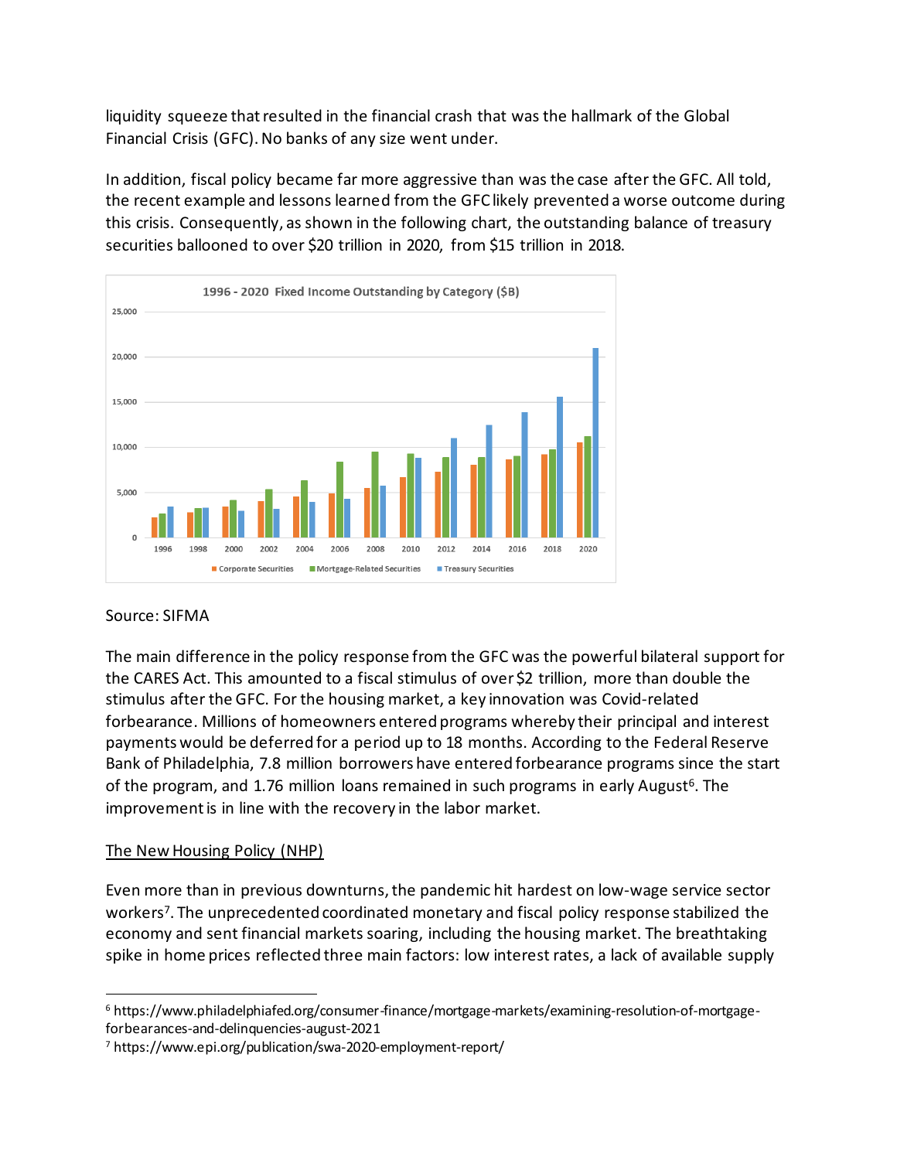liquidity squeeze that resulted in the financial crash that was the hallmark of the Global Financial Crisis (GFC). No banks of any size went under.

In addition, fiscal policy became far more aggressive than was the case after the GFC. All told, the recent example and lessons learned from the GFC likely prevented a worse outcome during this crisis. Consequently, as shown in the following chart, the outstanding balance of treasury securities ballooned to over \$20 trillion in 2020, from \$15 trillion in 2018.



#### Source: SIFMA

The main difference in the policy response from the GFC was the powerful bilateral support for the CARES Act. This amounted to a fiscal stimulus of over\$2 trillion, more than double the stimulus after the GFC. For the housing market, a key innovation was Covid-related forbearance. Millions of homeowners entered programs whereby their principal and interest payments would be deferred for a period up to 18 months. According to the Federal Reserve Bank of Philadelphia, 7.8 million borrowers have entered forbearance programs since the start of the program, and 1.76 million loans remained in such programs in early August<sup>6</sup>. The improvement is in line with the recovery in the labor market.

#### The New Housing Policy (NHP)

Even more than in previous downturns, the pandemic hit hardest on low-wage service sector workers<sup>7</sup> . The unprecedented coordinated monetary and fiscal policy response stabilized the economy and sent financial markets soaring, including the housing market. The breathtaking spike in home prices reflected three main factors: low interest rates, a lack of available supply

<sup>6</sup> https://www.philadelphiafed.org/consumer-finance/mortgage-markets/examining-resolution-of-mortgageforbearances-and-delinquencies-august-2021

<sup>7</sup> https://www.epi.org/publication/swa-2020-employment-report/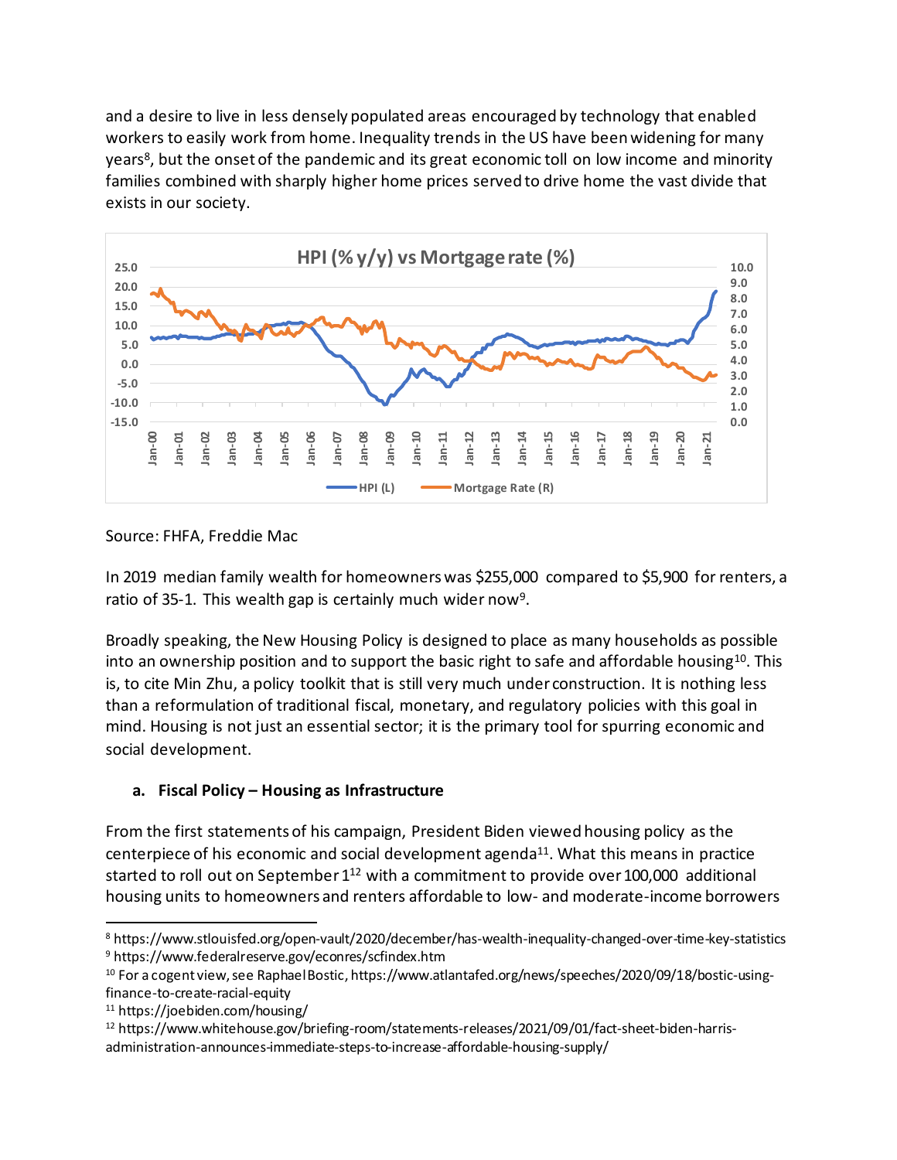and a desire to live in less densely populated areas encouraged by technology that enabled workers to easily work from home. Inequality trends in the US have been widening for many years<sup>8</sup>, but the onset of the pandemic and its great economic toll on low income and minority families combined with sharply higher home prices served to drive home the vast divide that exists in our society.



Source: FHFA, Freddie Mac

In 2019 median family wealth for homeowners was \$255,000 compared to \$5,900 for renters, a ratio of 35-1. This wealth gap is certainly much wider now<sup>9</sup>.

Broadly speaking, the New Housing Policy is designed to place as many households as possible into an ownership position and to support the basic right to safe and affordable housing<sup>10</sup>. This is, to cite Min Zhu, a policy toolkit that is still very much under construction. It is nothing less than a reformulation of traditional fiscal, monetary, and regulatory policies with this goal in mind. Housing is not just an essential sector; it is the primary tool for spurring economic and social development.

## **a. Fiscal Policy – Housing as Infrastructure**

From the first statements of his campaign, President Biden viewed housing policy as the centerpiece of his economic and social development agenda<sup>11</sup>. What this means in practice started to roll out on September  $1^{12}$  with a commitment to provide over 100,000 additional housing units to homeowners and renters affordable to low- and moderate-income borrowers

<sup>8</sup> https://www.stlouisfed.org/open-vault/2020/december/has-wealth-inequality-changed-over-time-key-statistics <sup>9</sup> https://www.federalreserve.gov/econres/scfindex.htm

<sup>10</sup> For a cogent view, see Raphael Bostic, https://www.atlantafed.org/news/speeches/2020/09/18/bostic-usingfinance-to-create-racial-equity

<sup>11</sup> https://joebiden.com/housing/

<sup>12</sup> https://www.whitehouse.gov/briefing-room/statements-releases/2021/09/01/fact-sheet-biden-harrisadministration-announces-immediate-steps-to-increase-affordable-housing-supply/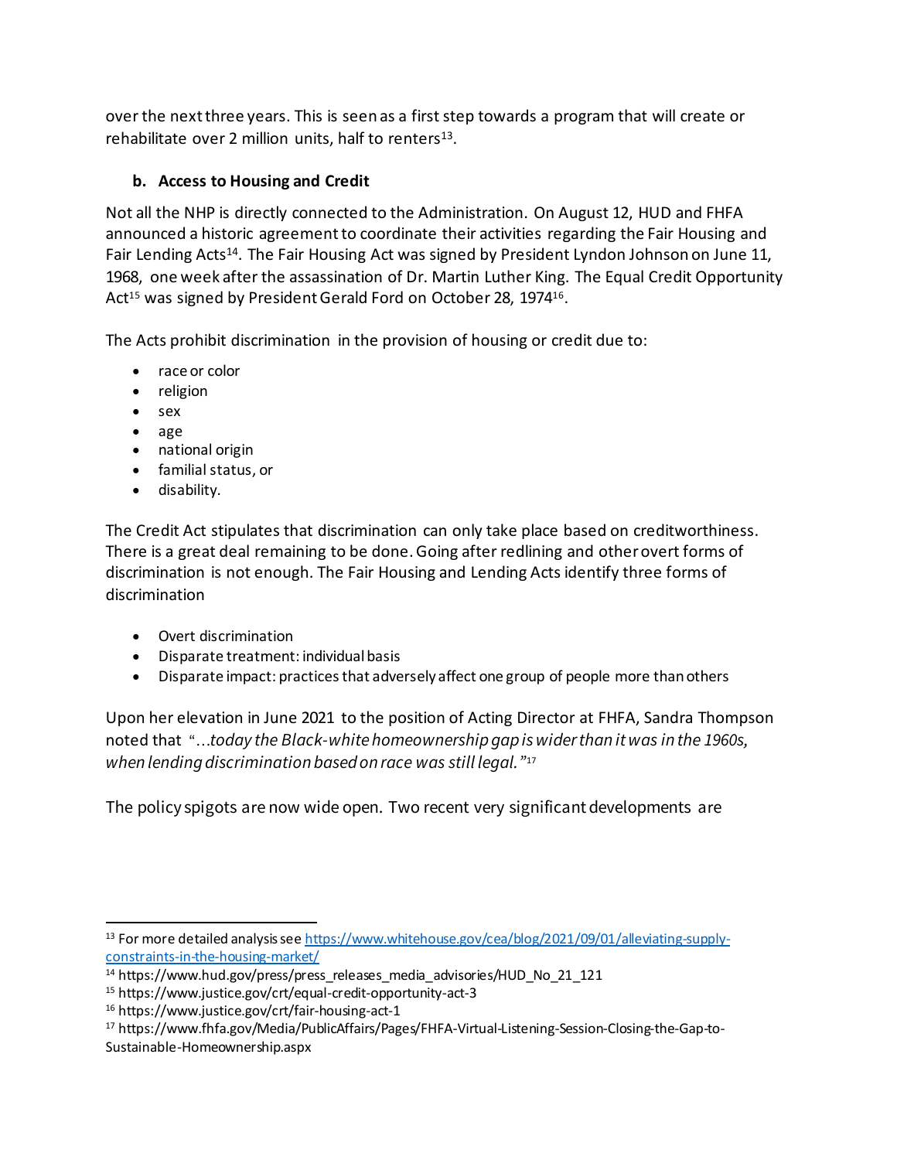over the next three years. This is seen as a first step towards a program that will create or rehabilitate over 2 million units, half to renters $^{13}$ .

# **b. Access to Housing and Credit**

Not all the NHP is directly connected to the Administration. On August 12, HUD and FHFA announced a historic agreement to coordinate their activities regarding the Fair Housing and Fair Lending Acts<sup>14</sup>. The Fair Housing Act was signed by President Lyndon Johnson on June 11, 1968, one week after the assassination of Dr. Martin Luther King. The Equal Credit Opportunity Act<sup>15</sup> was signed by President Gerald Ford on October 28, 1974<sup>16</sup>.

The Acts prohibit discrimination in the provision of housing or credit due to:

- [race or color](https://www.justice.gov/crt/fair-housing-act-1#race)
- [religion](https://www.justice.gov/crt/fair-housing-act-1#relig)
- [sex](https://www.justice.gov/crt/fair-housing-act-1#sex)
- age
- [national origin](https://www.justice.gov/crt/fair-housing-act-1#nat)
- [familial status,](https://www.justice.gov/crt/fair-housing-act-1#famil) or
- [disability.](https://www.justice.gov/crt/fair-housing-act-1#disability)

The Credit Act stipulates that discrimination can only take place based on creditworthiness. There is a great deal remaining to be done. Going after redlining and other overt forms of discrimination is not enough. The Fair Housing and Lending Acts identify three forms of discrimination

- Overt discrimination
- Disparate treatment: individual basis
- Disparate impact: practices that adversely affect one group of people more than others

Upon her elevation in June 2021 to the position of Acting Director at FHFA, Sandra Thompson noted that "…*today the Black-white homeownership gap is wider than it was in the 1960s, when lending discrimination based on race was still legal."*<sup>17</sup>

The policy spigots are now wide open. Two recent very significant developments are

<sup>&</sup>lt;sup>13</sup> For more detailed analysis se[e https://www.whitehouse.gov/cea/blog/2021/09/01/alleviating-supply](https://www.whitehouse.gov/cea/blog/2021/09/01/alleviating-supply-constraints-in-the-housing-market/)[constraints-in-the-housing-market/](https://www.whitehouse.gov/cea/blog/2021/09/01/alleviating-supply-constraints-in-the-housing-market/)

<sup>&</sup>lt;sup>14</sup> https://www.hud.gov/press/press\_releases\_media\_advisories/HUD\_No\_21\_121\_

<sup>15</sup> https://www.justice.gov/crt/equal-credit-opportunity-act-3

<sup>16</sup> https://www.justice.gov/crt/fair-housing-act-1

<sup>17</sup> https://www.fhfa.gov/Media/PublicAffairs/Pages/FHFA-Virtual-Listening-Session-Closing-the-Gap-to-Sustainable-Homeownership.aspx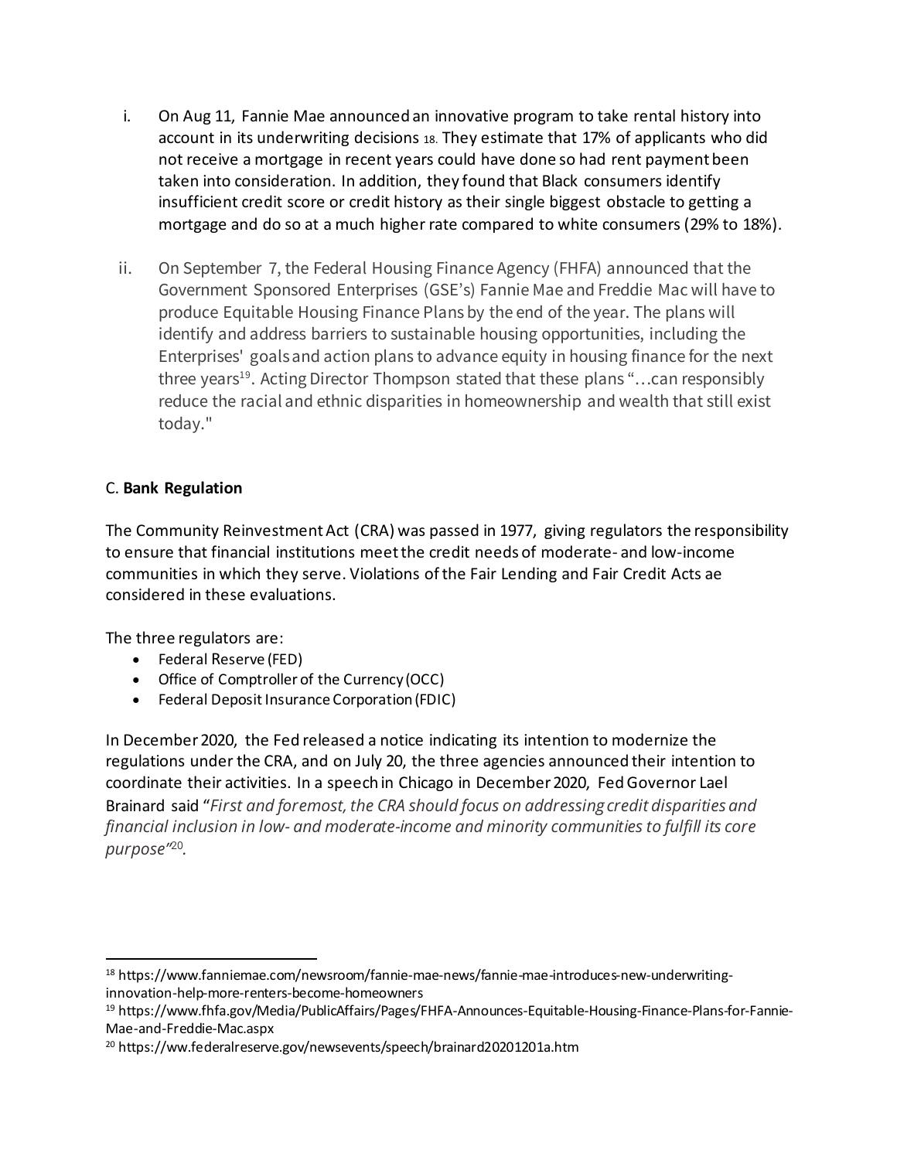- i. On Aug 11, Fannie Mae announced an innovative program to take rental history into account in its underwriting decisions 18. They estimate that 17% of applicants who did not receive a mortgage in recent years could have done so had rent payment been taken into consideration. In addition, they found that Black consumers identify insufficient credit score or credit history as their single biggest obstacle to getting a mortgage and do so at a much higher rate compared to white consumers (29% to 18%).
- ii. On September 7, the Federal Housing Finance Agency (FHFA) announced that the Government Sponsored Enterprises (GSE's) Fannie Mae and Freddie Mac will have to produce Equitable Housing Finance Plans by the end of the year. The plans will identify and address barriers to sustainable housing opportunities, including the Enterprises' goals and action plans to advance equity in housing finance for the next three years<sup>19</sup>. Acting Director Thompson stated that these plans "...can responsibly reduce the racial and ethnic disparities in homeownership and wealth that still exist today."

#### C. **Bank Regulation**

The Community Reinvestment Act (CRA) was passed in 1977, giving regulators the responsibility to ensure that financial institutions meet the credit needs of moderate- and low-income communities in which they serve. Violations of the Fair Lending and Fair Credit Acts ae considered in these evaluations.

The three regulators are:

- Federal Reserve (FED)
- Office of Comptroller of the Currency (OCC)
- Federal Deposit Insurance Corporation (FDIC)

In December 2020, the Fed released a notice indicating its intention to modernize the regulations under the CRA, and on July 20, the three agencies announced their intention to coordinate their activities. In a speech in Chicago in December 2020, Fed Governor Lael Brainard said "*First and foremost, the CRA should focus on addressing credit disparities and financial inclusion in low- and moderate-income and minority communities to fulfill its core purpose"* 20 *.*

<sup>18</sup> https://www.fanniemae.com/newsroom/fannie-mae-news/fannie-mae-introduces-new-underwritinginnovation-help-more-renters-become-homeowners

<sup>19</sup> https://www.fhfa.gov/Media/PublicAffairs/Pages/FHFA-Announces-Equitable-Housing-Finance-Plans-for-Fannie-Mae-and-Freddie-Mac.aspx

<sup>20</sup> https://ww.federalreserve.gov/newsevents/speech/brainard20201201a.htm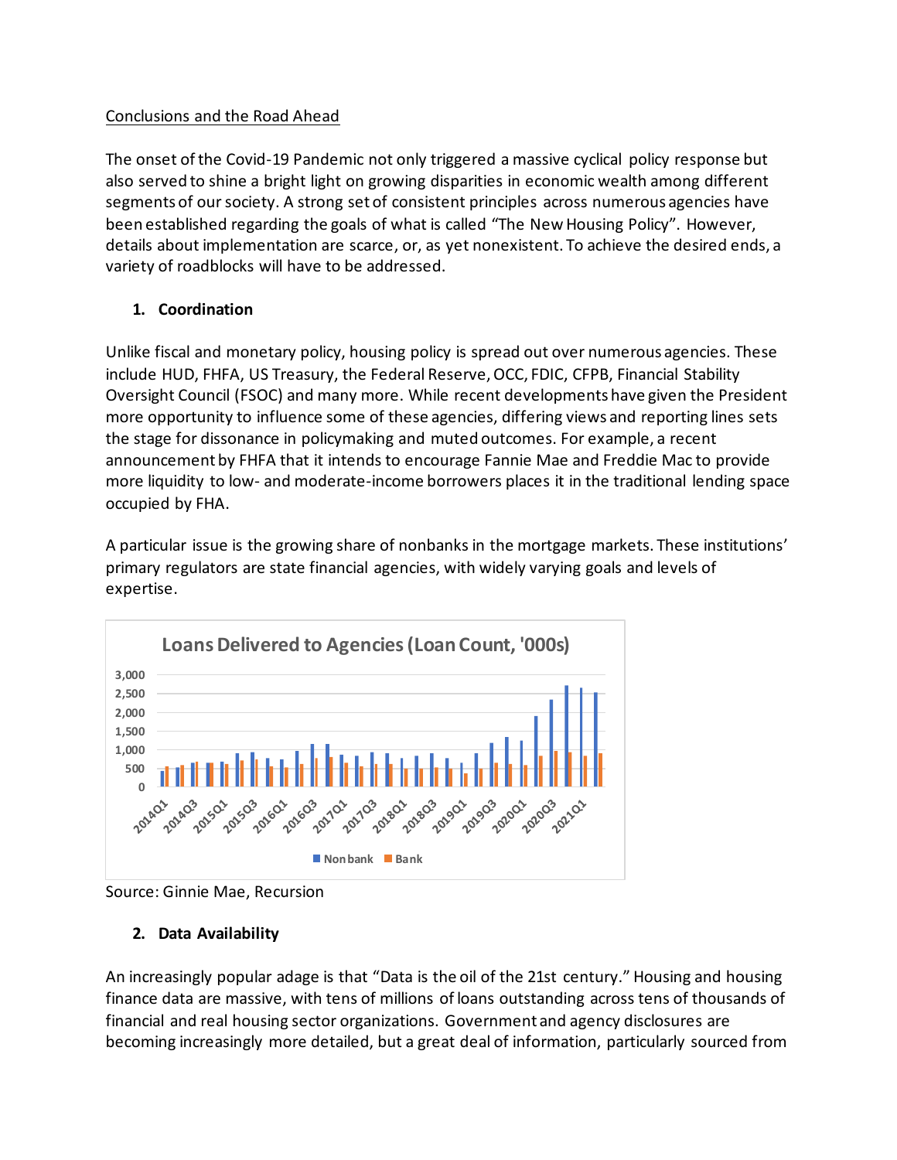#### Conclusions and the Road Ahead

The onset of the Covid-19 Pandemic not only triggered a massive cyclical policy response but also served to shine a bright light on growing disparities in economic wealth among different segments of our society. A strong set of consistent principles across numerous agencies have been established regarding the goals of what is called "The New Housing Policy". However, details about implementation are scarce, or, as yet nonexistent. To achieve the desired ends, a variety of roadblocks will have to be addressed.

## **1. Coordination**

Unlike fiscal and monetary policy, housing policy is spread out over numerous agencies. These include HUD, FHFA, US Treasury, the Federal Reserve, OCC, FDIC, CFPB, Financial Stability Oversight Council (FSOC) and many more. While recent developments have given the President more opportunity to influence some of these agencies, differing views and reporting lines sets the stage for dissonance in policymaking and muted outcomes. For example, a recent announcement by FHFA that it intends to encourage Fannie Mae and Freddie Mac to provide more liquidity to low- and moderate-income borrowers places it in the traditional lending space occupied by FHA.

A particular issue is the growing share of nonbanks in the mortgage markets. These institutions' primary regulators are state financial agencies, with widely varying goals and levels of expertise.



Source: Ginnie Mae, Recursion

## **2. Data Availability**

An increasingly popular adage is that "Data is the oil of the 21st century." Housing and housing finance data are massive, with tens of millions of loans outstanding across tens of thousands of financial and real housing sector organizations. Government and agency disclosures are becoming increasingly more detailed, but a great deal of information, particularly sourced from